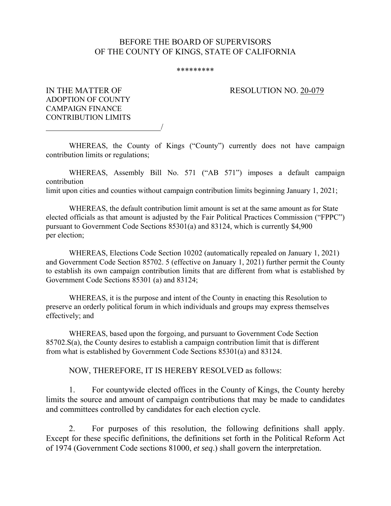## BEFORE THE BOARD OF SUPERVISORS OF THE COUNTY OF KINGS, STATE OF CALIFORNIA

## \*\*\*\*\*\*\*\*\*

## IN THE MATTER OF RESOLUTION NO. 20-079

ADOPTION OF COUNTY CAMPAIGN FINANCE CONTRIBUTION LIMITS

/

WHEREAS, the County of Kings ("County") currently does not have campaign contribution limits or regulations;

WHEREAS, Assembly Bill No. 571 ("AB 571") imposes a default campaign contribution limit upon cities and counties without campaign contribution limits beginning January 1, 2021;

WHEREAS, the default contribution limit amount is set at the same amount as for State elected officials as that amount is adjusted by the Fair Political Practices Commission ("FPPC") pursuant to Government Code Sections 85301(a) and 83124, which is currently \$4,900 per election;

WHEREAS, Elections Code Section 10202 (automatically repealed on January 1, 2021) and Government Code Section 85702. 5 (effective on January 1, 2021) further permit the County to establish its own campaign contribution limits that are different from what is established by Government Code Sections 85301 (a) and 83124;

WHEREAS, it is the purpose and intent of the County in enacting this Resolution to preserve an orderly political forum in which individuals and groups may express themselves effectively; and

WHEREAS, based upon the forgoing, and pursuant to Government Code Section 85702.S(a), the County desires to establish a campaign contribution limit that is different from what is established by Government Code Sections 85301(a) and 83124.

NOW, THEREFORE, IT IS HEREBY RESOLVED as follows:

 1. For countywide elected offices in the County of Kings, the County hereby limits the source and amount of campaign contributions that may be made to candidates and committees controlled by candidates for each election cycle.

 2. For purposes of this resolution, the following definitions shall apply. Except for these specific definitions, the definitions set forth in the Political Reform Act of 1974 (Government Code sections 81000, *et seq*.) shall govern the interpretation.